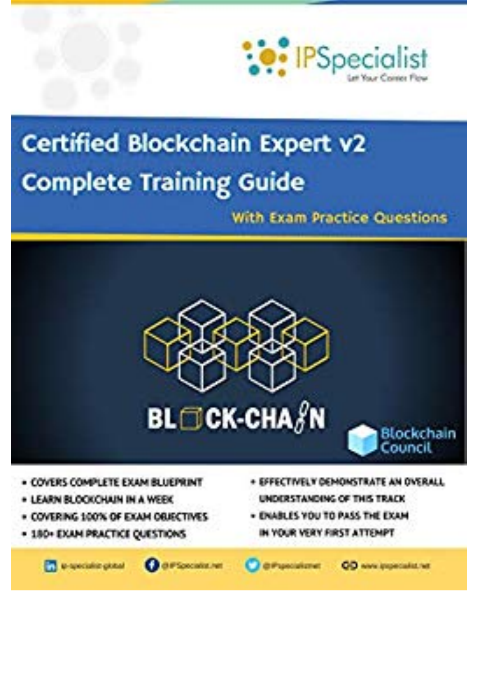

## **Certified Blockchain Expert v2 Complete Training Guide**

With Exam Practice Questions



- **COVERS COMPLETE EXAM BLUEPRINT**
- FARNIS CONCHAIN IN A WEEK
- COVERING 100% OF EXAM ORISCTIVES
- . 180- EXAM PRACTICE QUESTIONS
- SPPECTIVELY DEMONSTRATE AN OVERALL IDATANINAK AD THA TRAFIN
- . ENABLES YOU TO PASS THE EXAM IN YOUR VERY FIRST ATTEMPT

**TT** is specialize global

**Chartonomere** 

di Proscializzati

**CO** www.inspectable.net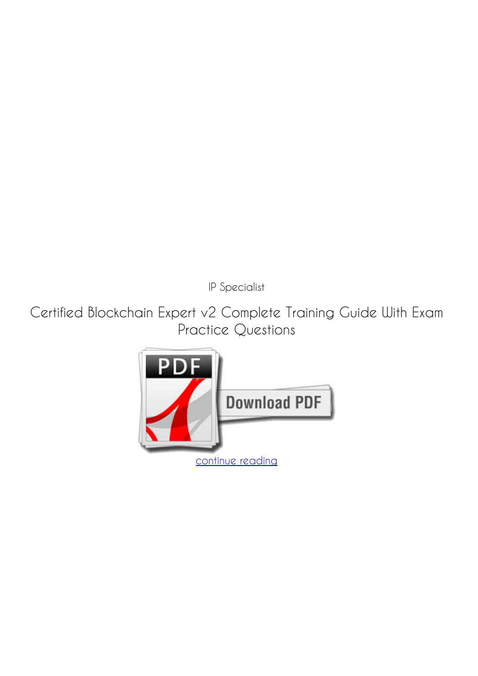*IP Specialist*

**Certified Blockchain Expert v2 Complete Training Guide With Exam Practice Questions**

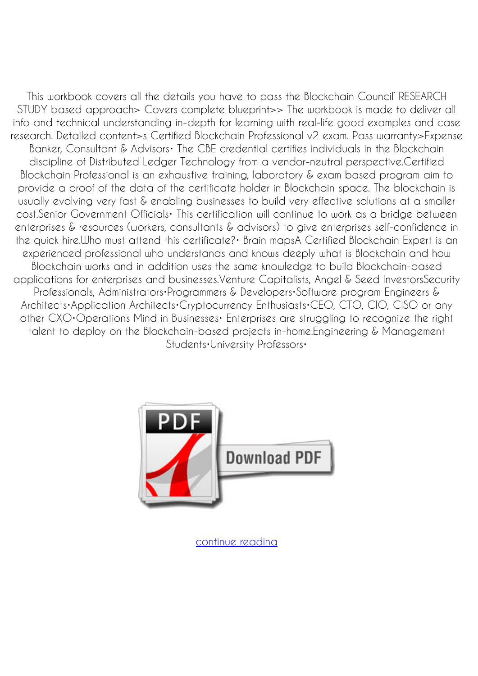This workbook covers all the details you have to pass the Blockchain Council' RESEARCH STUDY based approach> Covers complete blueprint>> The workbook is made to deliver all info and technical understanding in-depth for learning with real-life good examples and case research. Detailed content>s Certified Blockchain Professional v2 exam. Pass warranty>Expense Banker, Consultant & Advisors• The CBE credential certifies individuals in the Blockchain discipline of Distributed Ledger Technology from a vendor-neutral perspective.Certified Blockchain Professional is an exhaustive training, laboratory & exam based program aim to provide a proof of the data of the certificate holder in Blockchain space. The blockchain is usually evolving very fast & enabling businesses to build very effective solutions at a smaller cost.Senior Government Officials• This certification will continue to work as a bridge between enterprises & resources (workers, consultants & advisors) to give enterprises self-confidence in the quick hire.Who must attend this certificate?• Brain mapsA Certified Blockchain Expert is an experienced professional who understands and knows deeply what is Blockchain and how Blockchain works and in addition uses the same knowledge to build Blockchain-based applications for enterprises and businesses.Venture Capitalists, Angel & Seed InvestorsSecurity Professionals, Administrators•Programmers & Developers•Software program Engineers & Architects•Application Architects•Cryptocurrency Enthusiasts•CEO, CTO, CIO, CISO or any other CXO•Operations Mind in Businesses• Enterprises are struggling to recognize the right talent to deploy on the Blockchain-based projects in-home.Engineering & Management Students•University Professors•



[continue reading](http://bit.ly/2Tge8Fv)